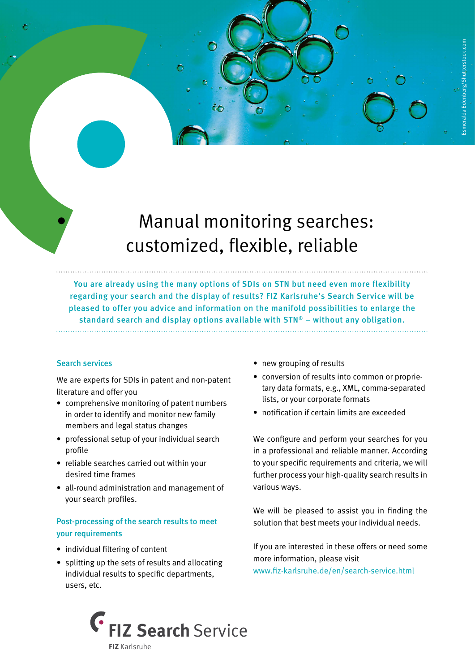# • Manual monitoring searches: customized, flexible, reliable

You are already using the many options of SDIs on STN but need even more flexibility regarding your search and the display of results? FIZ Karlsruhe's Search Service will be pleased to offer you advice and information on the manifold possibilities to enlarge the standard search and display options available with STN® – without any obligation.

## Search services

We are experts for SDIs in patent and non-patent literature and offer you

- comprehensive monitoring of patent numbers in order to identify and monitor new family members and legal status changes
- professional setup of your individual search profile
- reliable searches carried out within your desired time frames
- all-round administration and management of your search profiles.

# Post-processing of the search results to meet your requirements

- individual filtering of content
- splitting up the sets of results and allocating individual results to specific departments, users, etc.
- new grouping of results
- conversion of results into common or proprietary data formats, e.g., XML, comma-separated lists, or your corporate formats
- notification if certain limits are exceeded

We configure and perform your searches for you in a professional and reliable manner. According to your specific requirements and criteria, we will further process your high-quality search results in various ways.

We will be pleased to assist you in finding the solution that best meets your individual needs.

If you are interested in these offers or need some more information, please visit www.fiz-karlsruhe.de/en/search-service.html